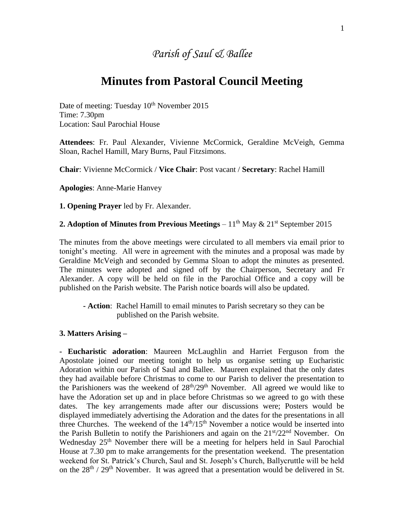## *Parish of Saul & Ballee*

## **Minutes from Pastoral Council Meeting**

Date of meeting: Tuesday 10<sup>th</sup> November 2015 Time: 7.30pm Location: Saul Parochial House

**Attendees**: Fr. Paul Alexander, Vivienne McCormick, Geraldine McVeigh, Gemma Sloan, Rachel Hamill, Mary Burns, Paul Fitzsimons.

**Chair**: Vivienne McCormick / **Vice Chair**: Post vacant / **Secretary**: Rachel Hamill

**Apologies**: Anne-Marie Hanvey

**1. Opening Prayer** led by Fr. Alexander.

## **2. Adoption of Minutes from Previous Meetings** –  $11<sup>th</sup>$  May  $\& 21<sup>st</sup>$  September 2015

The minutes from the above meetings were circulated to all members via email prior to tonight's meeting. All were in agreement with the minutes and a proposal was made by Geraldine McVeigh and seconded by Gemma Sloan to adopt the minutes as presented. The minutes were adopted and signed off by the Chairperson, Secretary and Fr Alexander. A copy will be held on file in the Parochial Office and a copy will be published on the Parish website. The Parish notice boards will also be updated.

**- Action**: Rachel Hamill to email minutes to Parish secretary so they can be published on the Parish website.

## **3. Matters Arising –**

**- Eucharistic adoration**: Maureen McLaughlin and Harriet Ferguson from the Apostolate joined our meeting tonight to help us organise setting up Eucharistic Adoration within our Parish of Saul and Ballee. Maureen explained that the only dates they had available before Christmas to come to our Parish to deliver the presentation to the Parishioners was the weekend of  $28<sup>th</sup>/29<sup>th</sup>$  November. All agreed we would like to have the Adoration set up and in place before Christmas so we agreed to go with these dates. The key arrangements made after our discussions were; Posters would be displayed immediately advertising the Adoration and the dates for the presentations in all three Churches. The weekend of the  $14<sup>th</sup>/15<sup>th</sup>$  November a notice would be inserted into the Parish Bulletin to notify the Parishioners and again on the  $21<sup>st</sup>/22<sup>nd</sup>$  November. On Wednesday 25<sup>th</sup> November there will be a meeting for helpers held in Saul Parochial House at 7.30 pm to make arrangements for the presentation weekend. The presentation weekend for St. Patrick's Church, Saul and St. Joseph's Church, Ballycruttle will be held on the  $28<sup>th</sup>$  /  $29<sup>th</sup>$  November. It was agreed that a presentation would be delivered in St.